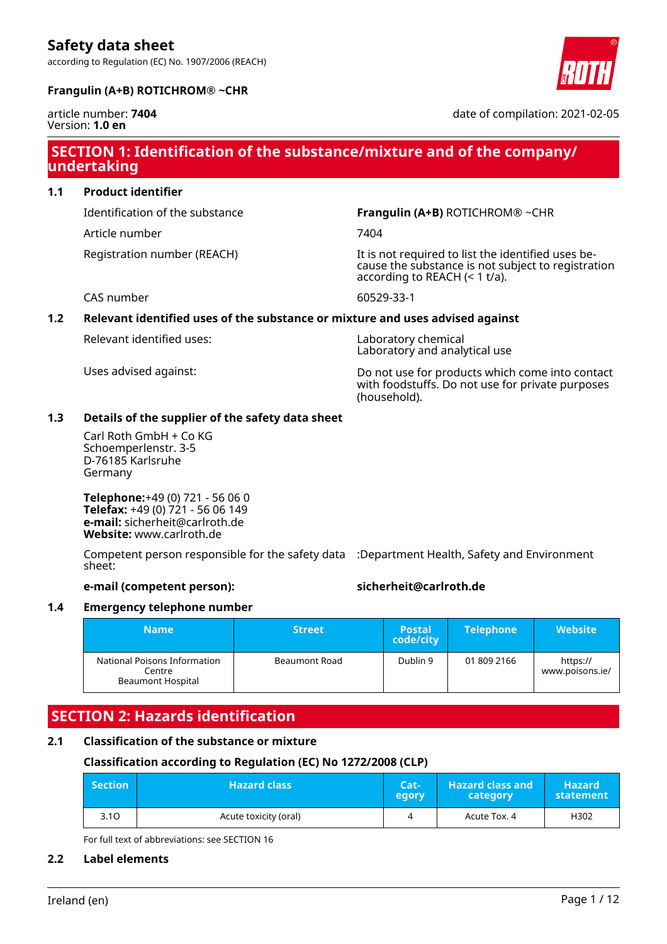according to Regulation (EC) No. 1907/2006 (REACH)



### **Frangulin (A+B) ROTICHROM® ~CHR**

#### article number: **7404** Version: **1.0 en**

date of compilation: 2021-02-05

### **SECTION 1: Identification of the substance/mixture and of the company/ undertaking**

### **1.1 Product identifier**

Article number 7404

Identification of the substance **Frangulin (A+B)** ROTICHROM® ~CHR

Registration number (REACH) The state of the identified uses because the substance is not subject to registration according to REACH (< 1 t/a).

CAS number 60529-33-1

### **1.2 Relevant identified uses of the substance or mixture and uses advised against**

Relevant identified uses: Laboratory chemical

Laboratory and analytical use

Uses advised against: Do not use for products which come into contact with foodstuffs. Do not use for private purposes (household).

### **1.3 Details of the supplier of the safety data sheet**

Carl Roth GmbH + Co KG Schoemperlenstr. 3-5 D-76185 Karlsruhe Germany

**Telephone:**+49 (0) 721 - 56 06 0 **Telefax:** +49 (0) 721 - 56 06 149 **e-mail:** sicherheit@carlroth.de **Website:** www.carlroth.de

Competent person responsible for the safety data :Department Health, Safety and Environment sheet:

### **e-mail (competent person): sicherheit@carlroth.de**

### **1.4 Emergency telephone number**

| <b>Name</b>                                                 | <b>Street</b> | <b>Postal</b><br>code/city | <b>Telephone</b> | <b>Website</b>              |
|-------------------------------------------------------------|---------------|----------------------------|------------------|-----------------------------|
| National Poisons Information<br>Centre<br>Beaumont Hospital | Beaumont Road | Dublin 9                   | 01 809 2166      | https://<br>www.poisons.ie/ |

# **SECTION 2: Hazards identification**

### **2.1 Classification of the substance or mixture**

### **Classification according to Regulation (EC) No 1272/2008 (CLP)**

| <b>Section</b> | <b>Hazard class</b>   | Cat-<br>egory | <b>Hazard class and</b><br>category | <b>Hazard</b><br>statement |
|----------------|-----------------------|---------------|-------------------------------------|----------------------------|
| 3.10           | Acute toxicity (oral) | 4             | Acute Tox. 4                        | H302                       |

For full text of abbreviations: see SECTION 16

### **2.2 Label elements**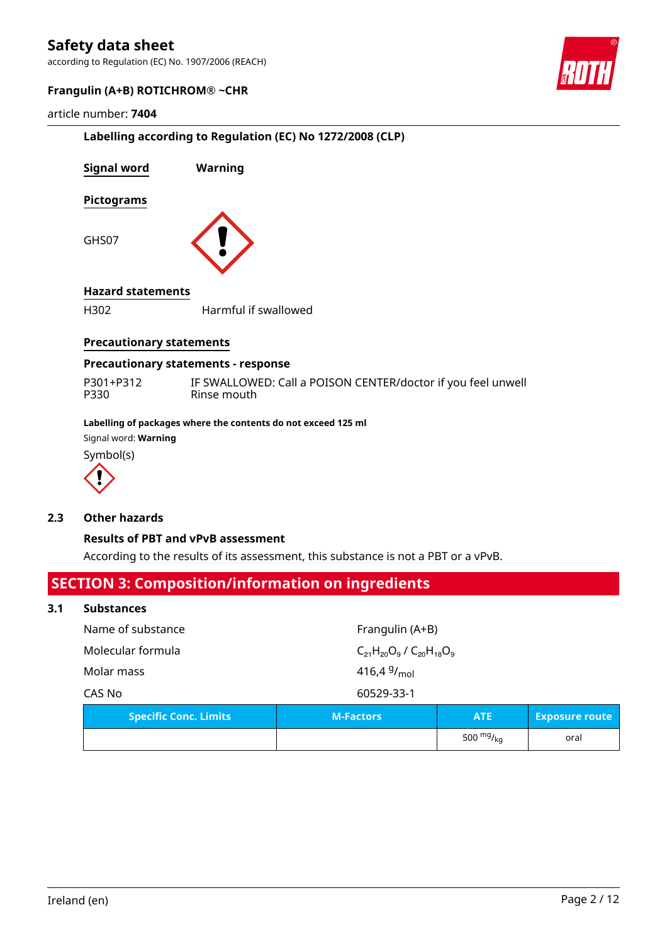according to Regulation (EC) No. 1907/2006 (REACH)



#### **Frangulin (A+B) ROTICHROM® ~CHR**

#### article number: **7404**

|                                 | Labelling according to Regulation (EC) No 1272/2008 (CLP) |
|---------------------------------|-----------------------------------------------------------|
| Signal word                     | Warning                                                   |
| <b>Pictograms</b>               |                                                           |
| GHS07                           |                                                           |
| <b>Hazard statements</b>        |                                                           |
| H302                            | Harmful if swallowed                                      |
| <b>Precautionary statements</b> |                                                           |
|                                 | Precautionary statements - response                       |

| P301+P312 | IF SWALLOWED: Call a POISON CENTER/doctor if you feel unwell |
|-----------|--------------------------------------------------------------|
| P330      | Rinse mouth                                                  |

#### **Labelling of packages where the contents do not exceed 125 ml**

Signal word: **Warning**

Symbol(s)



#### **2.3 Other hazards**

#### **Results of PBT and vPvB assessment**

According to the results of its assessment, this substance is not a PBT or a vPvB.

### **SECTION 3: Composition/information on ingredients**

#### **3.1 Substances**

| <b>Specific Conc. Limits</b>                               | <b>M-Factors</b> |  |  |
|------------------------------------------------------------|------------------|--|--|
| CAS No                                                     | 60529-33-1       |  |  |
| Molar mass                                                 | 416,4 $9/_{mol}$ |  |  |
| Molecular formula<br>$C_{21}H_{20}O_9$ / $C_{20}H_{18}O_9$ |                  |  |  |
| Name of substance                                          | Frangulin (A+B)  |  |  |
|                                                            |                  |  |  |

**Exposure route** 

 $\overline{500 \, \text{mg}}_{\text{kg}}$  | oral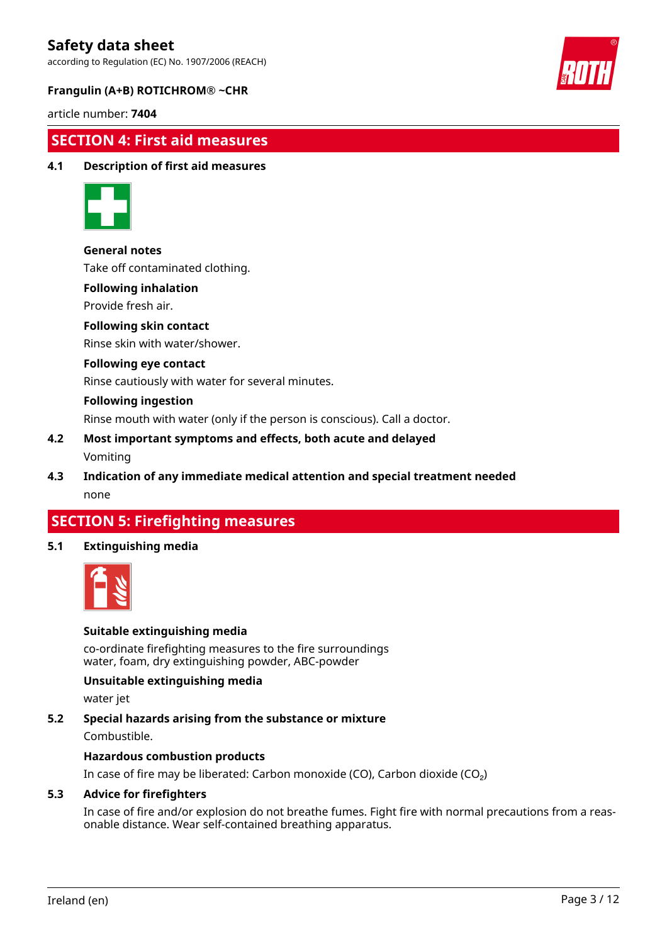according to Regulation (EC) No. 1907/2006 (REACH)



#### **Frangulin (A+B) ROTICHROM® ~CHR**

article number: **7404**

### **SECTION 4: First aid measures**

#### **4.1 Description of first aid measures**



#### **General notes**

Take off contaminated clothing.

#### **Following inhalation**

Provide fresh air.

#### **Following skin contact**

Rinse skin with water/shower.

#### **Following eye contact**

Rinse cautiously with water for several minutes.

#### **Following ingestion**

Rinse mouth with water (only if the person is conscious). Call a doctor.

#### **4.2 Most important symptoms and effects, both acute and delayed** Vomiting

**4.3 Indication of any immediate medical attention and special treatment needed** none

### **SECTION 5: Firefighting measures**

#### **5.1 Extinguishing media**



#### **Suitable extinguishing media**

co-ordinate firefighting measures to the fire surroundings water, foam, dry extinguishing powder, ABC-powder

#### **Unsuitable extinguishing media**

water jet

#### **5.2 Special hazards arising from the substance or mixture**

Combustible.

#### **Hazardous combustion products**

In case of fire may be liberated: Carbon monoxide (CO), Carbon dioxide (CO₂)

#### **5.3 Advice for firefighters**

In case of fire and/or explosion do not breathe fumes. Fight fire with normal precautions from a reasonable distance. Wear self-contained breathing apparatus.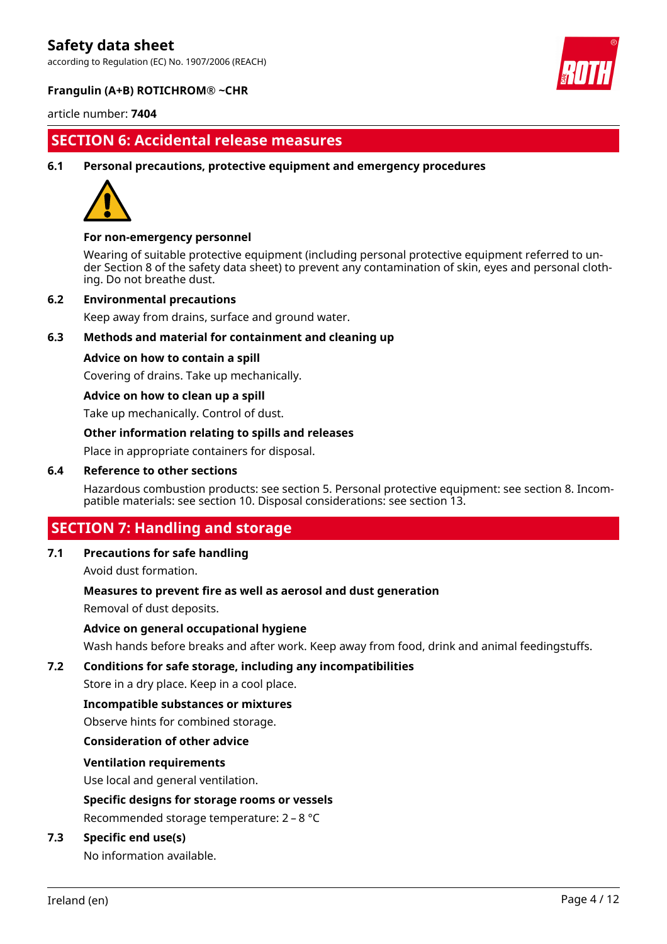according to Regulation (EC) No. 1907/2006 (REACH)



#### **Frangulin (A+B) ROTICHROM® ~CHR**

article number: **7404**

### **SECTION 6: Accidental release measures**

**6.1 Personal precautions, protective equipment and emergency procedures**



#### **For non-emergency personnel**

Wearing of suitable protective equipment (including personal protective equipment referred to under Section 8 of the safety data sheet) to prevent any contamination of skin, eyes and personal clothing. Do not breathe dust.

#### **6.2 Environmental precautions**

Keep away from drains, surface and ground water.

#### **6.3 Methods and material for containment and cleaning up**

#### **Advice on how to contain a spill**

Covering of drains. Take up mechanically.

#### **Advice on how to clean up a spill**

Take up mechanically. Control of dust.

#### **Other information relating to spills and releases**

Place in appropriate containers for disposal.

#### **6.4 Reference to other sections**

Hazardous combustion products: see section 5. Personal protective equipment: see section 8. Incompatible materials: see section 10. Disposal considerations: see section 13.

### **SECTION 7: Handling and storage**

#### **7.1 Precautions for safe handling**

Avoid dust formation.

#### **Measures to prevent fire as well as aerosol and dust generation**

Removal of dust deposits.

#### **Advice on general occupational hygiene**

Wash hands before breaks and after work. Keep away from food, drink and animal feedingstuffs.

#### **7.2 Conditions for safe storage, including any incompatibilities**

Store in a dry place. Keep in a cool place.

#### **Incompatible substances or mixtures**

Observe hints for combined storage.

#### **Consideration of other advice**

#### **Ventilation requirements**

Use local and general ventilation.

#### **Specific designs for storage rooms or vessels**

Recommended storage temperature: 2 – 8 °C

#### **7.3 Specific end use(s)**

No information available.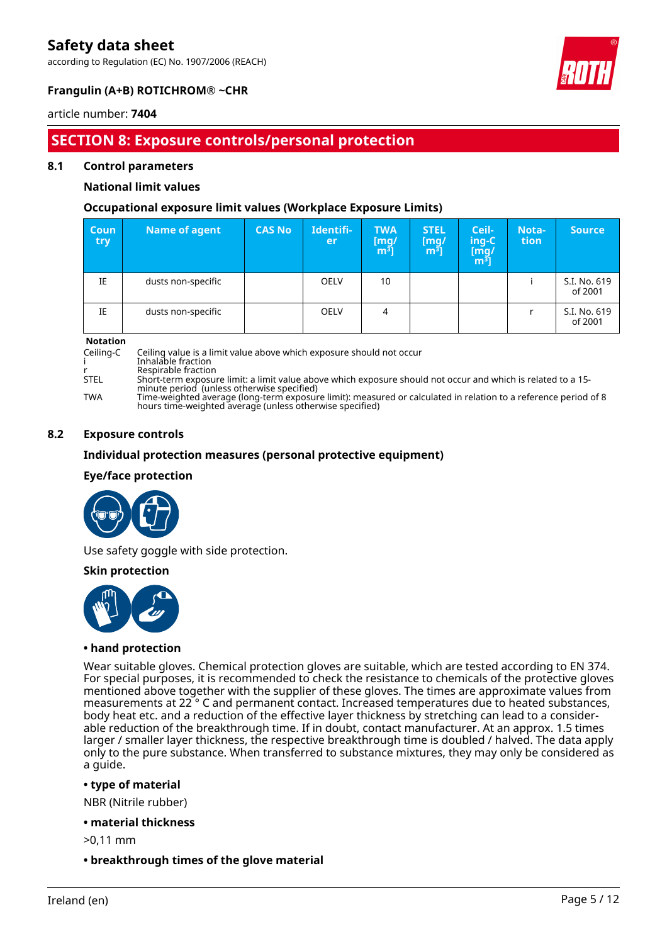according to Regulation (EC) No. 1907/2006 (REACH)



### **Frangulin (A+B) ROTICHROM® ~CHR**

#### article number: **7404**

# **SECTION 8: Exposure controls/personal protection**

#### **8.1 Control parameters**

#### **National limit values**

#### **Occupational exposure limit values (Workplace Exposure Limits)**

| <b>Coun</b><br>try | Name of agent      | <b>CAS No</b> | Identifi-<br>er | <b>TWA</b><br>$\begin{bmatrix} \mathsf{mg}/\ \mathsf{m}^3 \end{bmatrix}$ | <b>STEL</b><br>$\mathsf{[mq]}$<br>m31 | Ceil-<br>ing-C<br>[mg/<br>m <sup>3</sup> ] | Nota-<br>tion | <b>Source</b>           |
|--------------------|--------------------|---------------|-----------------|--------------------------------------------------------------------------|---------------------------------------|--------------------------------------------|---------------|-------------------------|
| IE                 | dusts non-specific |               | <b>OELV</b>     | 10                                                                       |                                       |                                            |               | S.I. No. 619<br>of 2001 |
| IE                 | dusts non-specific |               | <b>OELV</b>     | 4                                                                        |                                       |                                            |               | S.I. No. 619<br>of 2001 |

**Notation**<br>Ceiling-C

Ceiling value is a limit value above which exposure should not occur

i Inhalable fraction

r Respirable fraction STEL Short-term exposure limit: a limit value above which exposure should not occur and which is related to a 15 minute period (unless otherwise specified)

TWA Time-weighted average (long-term exposure limit): measured or calculated in relation to a reference period of 8 hours time-weighted average (unless otherwise specified)

#### **8.2 Exposure controls**

#### **Individual protection measures (personal protective equipment)**

#### **Eye/face protection**



Use safety goggle with side protection.

#### **Skin protection**



#### **• hand protection**

Wear suitable gloves. Chemical protection gloves are suitable, which are tested according to EN 374. For special purposes, it is recommended to check the resistance to chemicals of the protective gloves mentioned above together with the supplier of these gloves. The times are approximate values from measurements at 22 ° C and permanent contact. Increased temperatures due to heated substances, body heat etc. and a reduction of the effective layer thickness by stretching can lead to a considerable reduction of the breakthrough time. If in doubt, contact manufacturer. At an approx. 1.5 times larger / smaller layer thickness, the respective breakthrough time is doubled / halved. The data apply only to the pure substance. When transferred to substance mixtures, they may only be considered as a guide.

#### **• type of material**

NBR (Nitrile rubber)

**• material thickness**

>0,11 mm

#### **• breakthrough times of the glove material**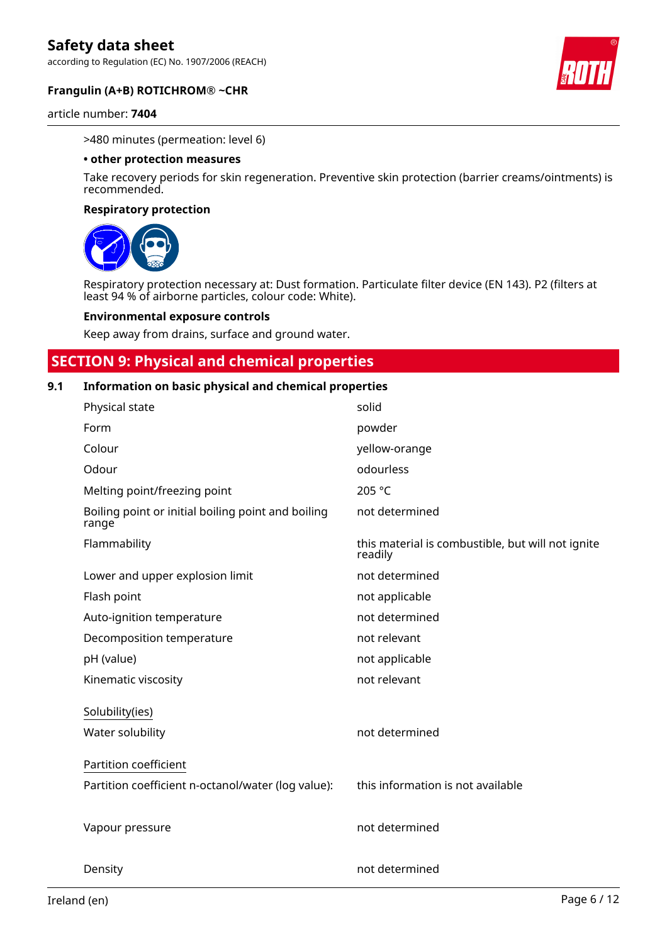according to Regulation (EC) No. 1907/2006 (REACH)



#### article number: **7404**

>480 minutes (permeation: level 6)

#### **• other protection measures**

Take recovery periods for skin regeneration. Preventive skin protection (barrier creams/ointments) is recommended.

#### **Respiratory protection**



Respiratory protection necessary at: Dust formation. Particulate filter device (EN 143). P2 (filters at least 94 % of airborne particles, colour code: White).

#### **Environmental exposure controls**

Keep away from drains, surface and ground water.

### **SECTION 9: Physical and chemical properties**

#### **9.1 Information on basic physical and chemical properties**

| Physical state                                              | solid                                                        |
|-------------------------------------------------------------|--------------------------------------------------------------|
| Form                                                        | powder                                                       |
| Colour                                                      | yellow-orange                                                |
| Odour                                                       | odourless                                                    |
| Melting point/freezing point                                | 205 °C                                                       |
| Boiling point or initial boiling point and boiling<br>range | not determined                                               |
| Flammability                                                | this material is combustible, but will not ignite<br>readily |
| Lower and upper explosion limit                             | not determined                                               |
| Flash point                                                 | not applicable                                               |
| Auto-ignition temperature                                   | not determined                                               |
| Decomposition temperature                                   | not relevant                                                 |
| pH (value)                                                  | not applicable                                               |
| Kinematic viscosity                                         | not relevant                                                 |
| Solubility(ies)                                             |                                                              |
| Water solubility                                            | not determined                                               |
| Partition coefficient                                       |                                                              |
| Partition coefficient n-octanol/water (log value):          | this information is not available                            |
|                                                             |                                                              |
| Vapour pressure                                             | not determined                                               |
|                                                             |                                                              |
| Density                                                     | not determined                                               |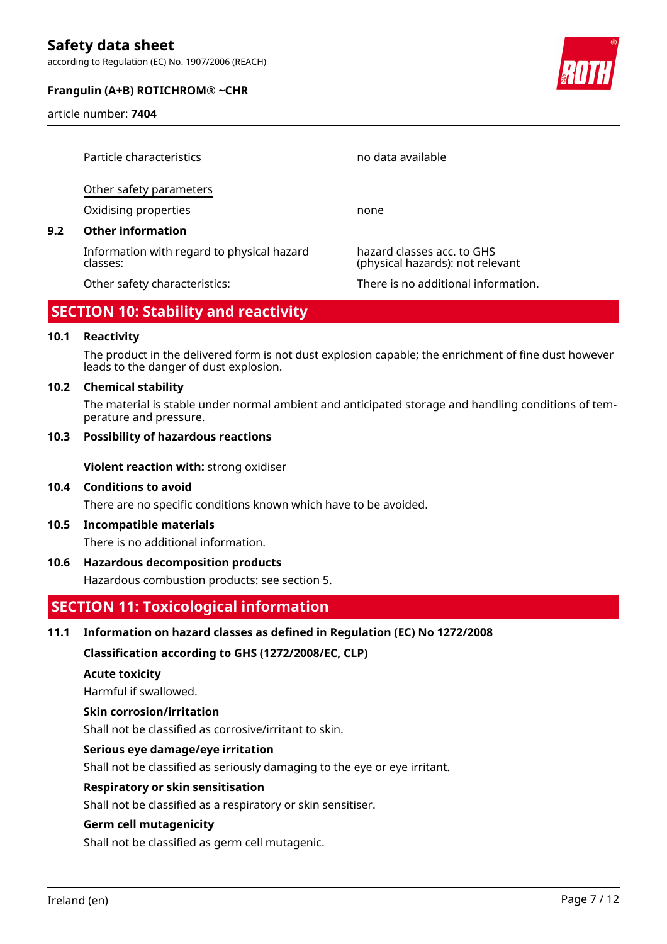according to Regulation (EC) No. 1907/2006 (REACH)

#### **Frangulin (A+B) ROTICHROM® ~CHR**

article number: **7404**



|     | Particle characteristics                               | no data available                                              |
|-----|--------------------------------------------------------|----------------------------------------------------------------|
|     | Other safety parameters                                |                                                                |
|     | Oxidising properties                                   | none                                                           |
| 9.2 | <b>Other information</b>                               |                                                                |
|     | Information with regard to physical hazard<br>classes: | hazard classes acc. to GHS<br>(physical hazards): not relevant |
|     | Other safety characteristics:                          | There is no additional information.                            |

## **SECTION 10: Stability and reactivity**

#### **10.1 Reactivity**

The product in the delivered form is not dust explosion capable; the enrichment of fine dust however leads to the danger of dust explosion.

#### **10.2 Chemical stability**

The material is stable under normal ambient and anticipated storage and handling conditions of temperature and pressure.

#### **10.3 Possibility of hazardous reactions**

**Violent reaction with:** strong oxidiser

#### **10.4 Conditions to avoid**

There are no specific conditions known which have to be avoided.

#### **10.5 Incompatible materials**

There is no additional information.

#### **10.6 Hazardous decomposition products**

Hazardous combustion products: see section 5.

### **SECTION 11: Toxicological information**

#### **11.1 Information on hazard classes as defined in Regulation (EC) No 1272/2008**

**Classification according to GHS (1272/2008/EC, CLP)**

#### **Acute toxicity**

Harmful if swallowed.

#### **Skin corrosion/irritation**

Shall not be classified as corrosive/irritant to skin.

#### **Serious eye damage/eye irritation**

Shall not be classified as seriously damaging to the eye or eye irritant.

#### **Respiratory or skin sensitisation**

Shall not be classified as a respiratory or skin sensitiser.

#### **Germ cell mutagenicity**

Shall not be classified as germ cell mutagenic.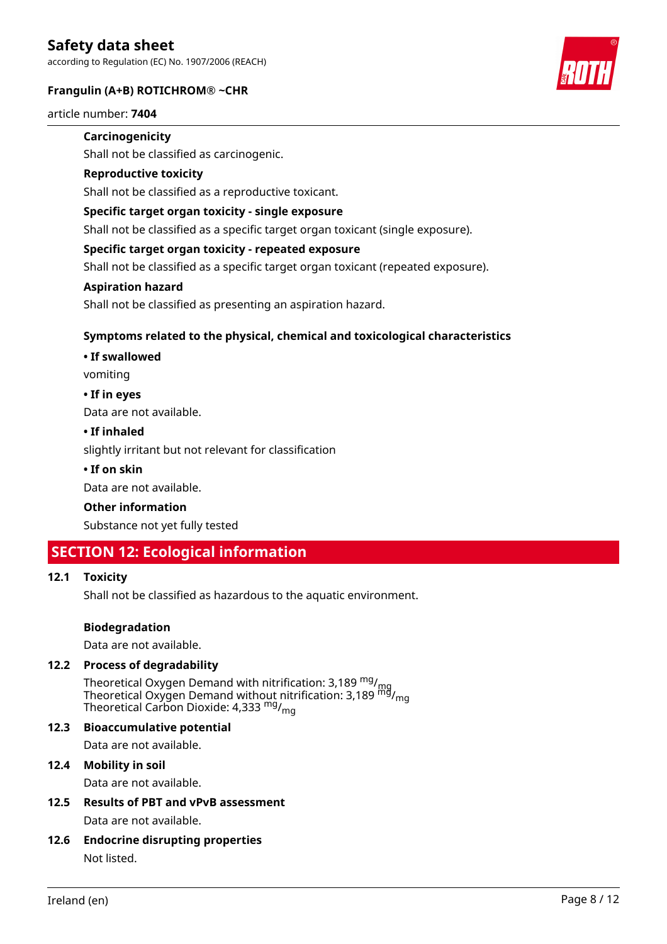according to Regulation (EC) No. 1907/2006 (REACH)

#### **Frangulin (A+B) ROTICHROM® ~CHR**



#### article number: **7404**

#### **Carcinogenicity**

Shall not be classified as carcinogenic.

#### **Reproductive toxicity**

Shall not be classified as a reproductive toxicant.

#### **Specific target organ toxicity - single exposure**

Shall not be classified as a specific target organ toxicant (single exposure).

#### **Specific target organ toxicity - repeated exposure**

Shall not be classified as a specific target organ toxicant (repeated exposure).

#### **Aspiration hazard**

Shall not be classified as presenting an aspiration hazard.

#### **Symptoms related to the physical, chemical and toxicological characteristics**

#### **• If swallowed**

vomiting

#### **• If in eyes**

Data are not available.

#### **• If inhaled**

slightly irritant but not relevant for classification

#### **• If on skin**

Data are not available.

#### **Other information**

Substance not yet fully tested

### **SECTION 12: Ecological information**

#### **12.1 Toxicity**

Shall not be classified as hazardous to the aquatic environment.

#### **Biodegradation**

Data are not available.

#### **12.2 Process of degradability**

Theoretical Oxygen Demand with nitrification: 3,189 <sup>mg</sup>/<sub>mg</sub> Theoretical Oxygen Demand without nitrification: 3,189  $^{\sf mfd}_{\sf mfg}$ Theoretical Carbon Dioxide: 4,333 mg/mg

#### **12.3 Bioaccumulative potential**

Data are not available.

### **12.4 Mobility in soil**

Data are not available.

- **12.5 Results of PBT and vPvB assessment** Data are not available.
- **12.6 Endocrine disrupting properties** Not listed.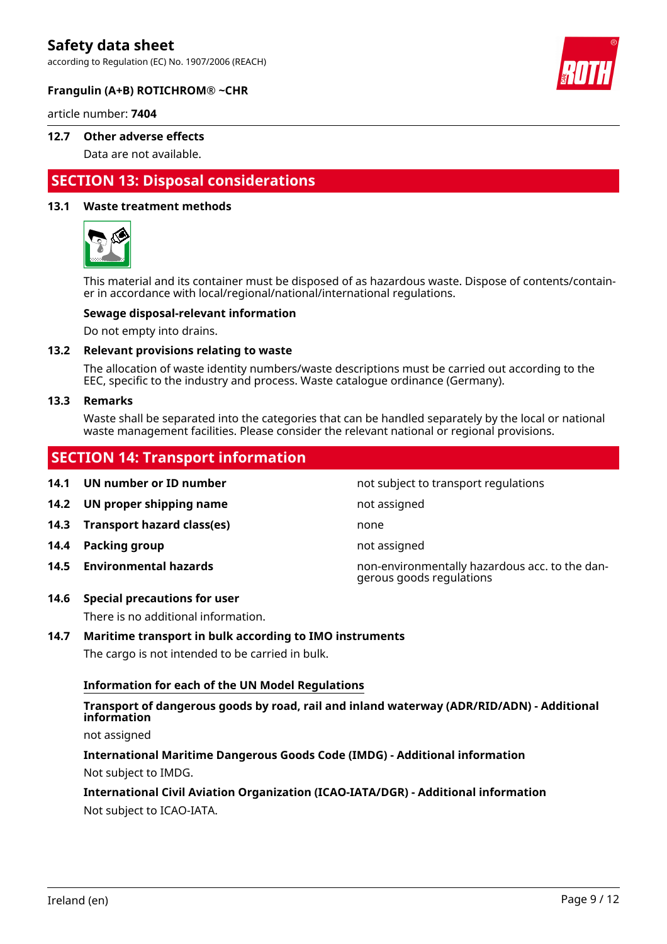according to Regulation (EC) No. 1907/2006 (REACH)



#### **Frangulin (A+B) ROTICHROM® ~CHR**

article number: **7404**

#### **12.7 Other adverse effects**

Data are not available.

# **SECTION 13: Disposal considerations**

#### **13.1 Waste treatment methods**



This material and its container must be disposed of as hazardous waste. Dispose of contents/container in accordance with local/regional/national/international regulations.

#### **Sewage disposal-relevant information**

Do not empty into drains.

#### **13.2 Relevant provisions relating to waste**

The allocation of waste identity numbers/waste descriptions must be carried out according to the EEC, specific to the industry and process. Waste catalogue ordinance (Germany).

#### **13.3 Remarks**

Waste shall be separated into the categories that can be handled separately by the local or national waste management facilities. Please consider the relevant national or regional provisions.

### **SECTION 14: Transport information**

**14.1 UN number or ID number 14.1 UN number** not subject to transport regulations **14.2 UN proper shipping name** not assigned **14.3 Transport hazard class(es)** none **14.4 Packing group not assigned 14.5 Environmental hazards** non-environmentally hazardous acc. to the dangerous goods regulations

#### **14.6 Special precautions for user**

There is no additional information.

#### **14.7 Maritime transport in bulk according to IMO instruments**

The cargo is not intended to be carried in bulk.

#### **Information for each of the UN Model Regulations**

#### **Transport of dangerous goods by road, rail and inland waterway (ADR/RID/ADN) - Additional information**

not assigned

**International Maritime Dangerous Goods Code (IMDG) - Additional information** Not subject to IMDG.

#### **International Civil Aviation Organization (ICAO-IATA/DGR) - Additional information** Not subject to ICAO-IATA.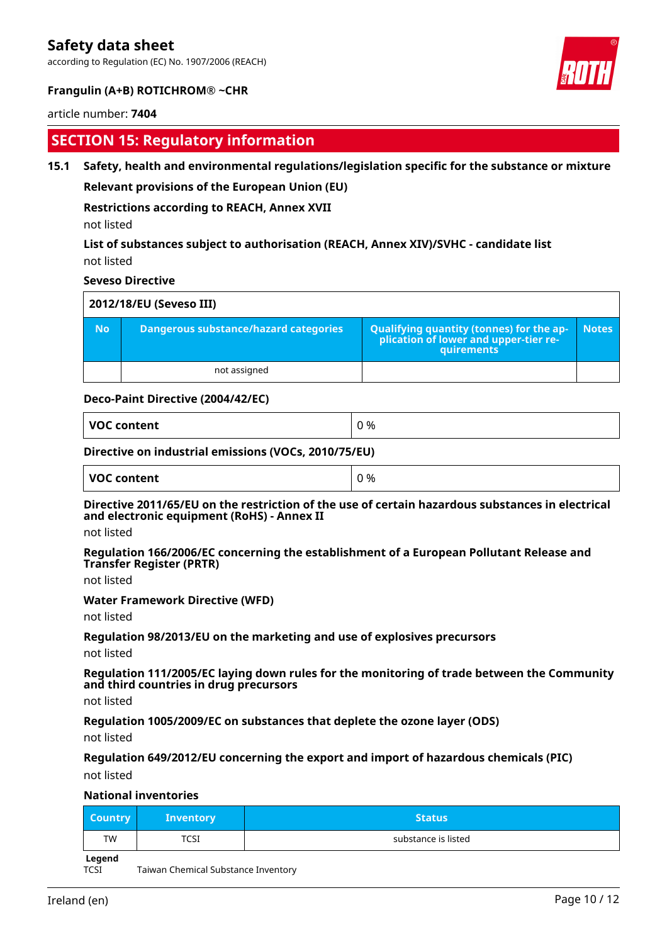according to Regulation (EC) No. 1907/2006 (REACH)



#### **Frangulin (A+B) ROTICHROM® ~CHR**

#### article number: **7404**

### **SECTION 15: Regulatory information**

#### **15.1 Safety, health and environmental regulations/legislation specific for the substance or mixture**

#### **Relevant provisions of the European Union (EU)**

#### **Restrictions according to REACH, Annex XVII**

not listed

#### **List of substances subject to authorisation (REACH, Annex XIV)/SVHC - candidate list** not listed

#### **Seveso Directive**

|           | 2012/18/EU (Seveso III)                      |                                                                                                   |       |  |  |
|-----------|----------------------------------------------|---------------------------------------------------------------------------------------------------|-------|--|--|
| <b>No</b> | <b>Dangerous substance/hazard categories</b> | Qualifying quantity (tonnes) for the application of lower and upper-tier re-<br><b>quirements</b> | Notes |  |  |
|           | not assigned                                 |                                                                                                   |       |  |  |

#### **Deco-Paint Directive (2004/42/EC)**

| <b>VOC content</b><br>. | %<br>$\sim$<br>v |
|-------------------------|------------------|
|-------------------------|------------------|

#### **Directive on industrial emissions (VOCs, 2010/75/EU)**

| <b>VOC content</b><br>0% |  |  |
|--------------------------|--|--|
|--------------------------|--|--|

#### **Directive 2011/65/EU on the restriction of the use of certain hazardous substances in electrical and electronic equipment (RoHS) - Annex II**

not listed

#### **Regulation 166/2006/EC concerning the establishment of a European Pollutant Release and Transfer Register (PRTR)**

not listed

#### **Water Framework Directive (WFD)**

not listed

#### **Regulation 98/2013/EU on the marketing and use of explosives precursors**

not listed

#### **Regulation 111/2005/EC laying down rules for the monitoring of trade between the Community and third countries in drug precursors**

not listed

**Regulation 1005/2009/EC on substances that deplete the ozone layer (ODS)**

not listed

#### **Regulation 649/2012/EU concerning the export and import of hazardous chemicals (PIC)**

not listed

#### **National inventories**

| <b>Country</b> | <b>Inventory</b> | <b>Status</b>       |
|----------------|------------------|---------------------|
| <b>TW</b>      | TCSI             | substance is listed |

**Legend**

TCSI Taiwan Chemical Substance Inventory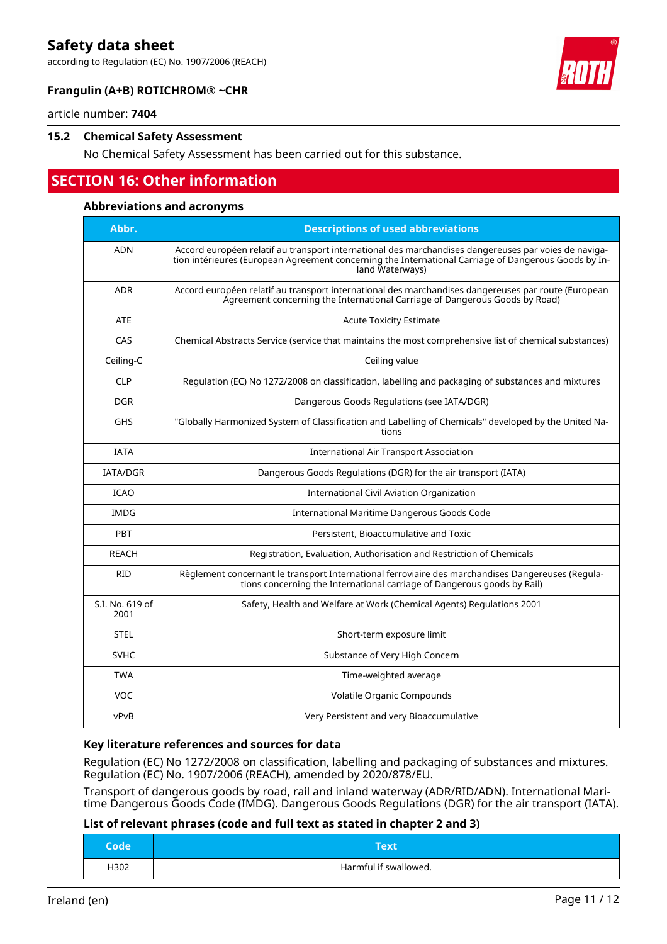according to Regulation (EC) No. 1907/2006 (REACH)



#### **Frangulin (A+B) ROTICHROM® ~CHR**

article number: **7404**

#### **15.2 Chemical Safety Assessment**

No Chemical Safety Assessment has been carried out for this substance.

# **SECTION 16: Other information**

#### **Abbreviations and acronyms**

| Abbr.                   | <b>Descriptions of used abbreviations</b>                                                                                                                                                                                       |
|-------------------------|---------------------------------------------------------------------------------------------------------------------------------------------------------------------------------------------------------------------------------|
| <b>ADN</b>              | Accord européen relatif au transport international des marchandises dangereuses par voies de naviga-<br>tion intérieures (European Agreement concerning the International Carriage of Dangerous Goods by In-<br>land Waterways) |
| <b>ADR</b>              | Accord européen relatif au transport international des marchandises dangereuses par route (European<br>Agreement concerning the International Carriage of Dangerous Goods by Road)                                              |
| <b>ATE</b>              | <b>Acute Toxicity Estimate</b>                                                                                                                                                                                                  |
| CAS                     | Chemical Abstracts Service (service that maintains the most comprehensive list of chemical substances)                                                                                                                          |
| Ceiling-C               | Ceiling value                                                                                                                                                                                                                   |
| <b>CLP</b>              | Regulation (EC) No 1272/2008 on classification, labelling and packaging of substances and mixtures                                                                                                                              |
| <b>DGR</b>              | Dangerous Goods Regulations (see IATA/DGR)                                                                                                                                                                                      |
| <b>GHS</b>              | "Globally Harmonized System of Classification and Labelling of Chemicals" developed by the United Na-<br>tions                                                                                                                  |
| <b>IATA</b>             | <b>International Air Transport Association</b>                                                                                                                                                                                  |
| <b>IATA/DGR</b>         | Dangerous Goods Regulations (DGR) for the air transport (IATA)                                                                                                                                                                  |
| <b>ICAO</b>             | International Civil Aviation Organization                                                                                                                                                                                       |
| <b>IMDG</b>             | International Maritime Dangerous Goods Code                                                                                                                                                                                     |
| <b>PBT</b>              | Persistent, Bioaccumulative and Toxic                                                                                                                                                                                           |
| <b>REACH</b>            | Registration, Evaluation, Authorisation and Restriction of Chemicals                                                                                                                                                            |
| <b>RID</b>              | Règlement concernant le transport International ferroviaire des marchandises Dangereuses (Regula-<br>tions concerning the International carriage of Dangerous goods by Rail)                                                    |
| S.I. No. 619 of<br>2001 | Safety, Health and Welfare at Work (Chemical Agents) Regulations 2001                                                                                                                                                           |
| <b>STEL</b>             | Short-term exposure limit                                                                                                                                                                                                       |
| <b>SVHC</b>             | Substance of Very High Concern                                                                                                                                                                                                  |
| <b>TWA</b>              | Time-weighted average                                                                                                                                                                                                           |
| VOC                     | Volatile Organic Compounds                                                                                                                                                                                                      |
| vPvB                    | Very Persistent and very Bioaccumulative                                                                                                                                                                                        |

#### **Key literature references and sources for data**

Regulation (EC) No 1272/2008 on classification, labelling and packaging of substances and mixtures. Regulation (EC) No. 1907/2006 (REACH), amended by 2020/878/EU.

Transport of dangerous goods by road, rail and inland waterway (ADR/RID/ADN). International Maritime Dangerous Goods Code (IMDG). Dangerous Goods Regulations (DGR) for the air transport (IATA).

#### **List of relevant phrases (code and full text as stated in chapter 2 and 3)**

| Code | Text                  |
|------|-----------------------|
| H302 | Harmful if swallowed. |